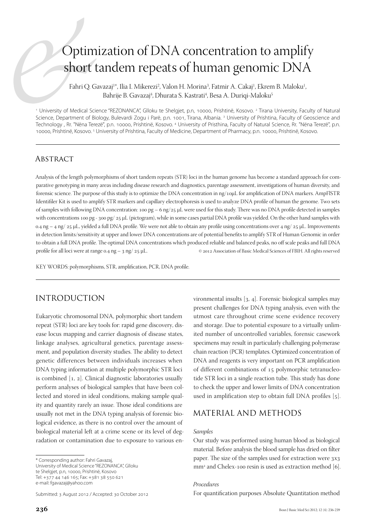# Optimization of DNA concentration to amplify short tandem repeats of human genomic DNA

Fahri Q. Gavazaj<sup>1</sup>\*, Ilia I. Mikerezi<sup>2</sup>, Valon H. Morina<sup>3</sup>, Fatmir A. Cakaj<sup>1</sup>, Ekrem B. Maloku<sup>1</sup> , Bahrije B. Gavazaj<sup>4</sup>, Dhurata S. Kastrati<sup>4</sup>, Besa A. Duriqi-Maloku<sup>5</sup>

<sup>1</sup> University of Medical Science "REZONANCA", Glloku te Shelgjet, p.n, 10000, Prishtinë, Kosovo. <sup>2</sup> Tirana University, Faculty of Natural Science, Department of Biology, Bulevardi Zogu i Parë, p.n. 1001, Tirana, Albania.<sup>3</sup> University of Prishtina, Faculty of Geoscience and Technology , Rr. "Nëna Terezë", p.n. 10000, Prishtinë, Kosovo. <sup>4</sup> University of Pristhina, Faculty of Natural Science, Rr. "Nëna Terezë", p.n. 10000, Prishtinë, Kosovo. 5 University of Prishtina, Faculty of Medicine, Department of Pharmacy, p.n. 10000, Prishtinë, Kosovo.

#### **ABSTRACT**

Analysis of the length polymorphisms of short tandem repeats (STR) loci in the human genome has become a standard approach for comparative genotyping in many areas including disease research and diagnostics, parentage assessment, investigations of human diversity, and forensic science. The purpose of this study is to optimize the DNA concentration in ng/10µL for amplification of DNA markers. AmpFlSTR Identifiler Kit is used to amplify STR markers and capillary electrophoresis is used to analyze DNA profile of human the genome. Two sets of samples with following DNA concentration: 100 pg – 6 ng/25 μL were used for this study. There was no DNA profile detected in samples with concentrations 100 pg - 300 pg/  $25 \mu L$  (pictogram), while in some cases partial DNA profile was yielded. On the other hand samples with 0.4 ng – 4 ng/ 25 μL, yielded a full DNA profile. We were not able to obtain any profile using concentrations over 4 ng/ 25 μL. Improvements in detection limits/sensitivity at upper and lower DNA concentrations are of potential benefits to amplify STR of Human Genomic in order to obtain a full DNA profile. The optimal DNA concentrations which produced reliable and balanced peaks, no off scale peaks and full DNA profile for all loci were at range 0.4 ng - 3 ng/ 25 μL.  $\circ$  2012 Association of Basic Medical Sciences of FBIH. All rights reserved

KEY WORDS: polymorphisms, STR, amplification, PCR, DNA profile.

# INTRODUCTION

Eukaryotic chromosomal DNA, polymorphic short tandem repeat (STR) loci are key tools for: rapid gene discovery, disease locus mapping and carrier diagnosis of disease states, linkage analyses, agricultural genetics, parentage assessment, and population diversity studies. The ability to detect genetic differences between individuals increases when DNA typing information at multiple polymorphic STR loci is combined  $[1, 2]$ . Clinical diagnostic laboratories usually perform analyses of biological samples that have been collected and stored in ideal conditions, making sample quality and quantity rarely an issue. Those ideal conditions are usually not met in the DNA typing analysis of forensic biological evidence, as there is no control over the amount of biological material left at a crime scene or its level of degradation or contamination due to exposure to various en-

\* Corresponding author: Fahri Gavazaj, University of Medical Science "REZONANCA", Glloku te Shelgjet, p.n, 10000, Prishtinë, Kosovo Tel: +377 44 146 165; Fax: +381 38 550 621 e-mail: fgavazaj@yahoo.com

Submitted: 3 August 2012 / Accepted: 30 October 2012

vironmental insults  $[3, 4]$ . Forensic biological samples may present challenges for DNA typing analysis, even with the utmost care throughout crime scene evidence recovery and storage. Due to potential exposure to a virtually unlimited number of uncontrolled variables, forensic casework specimens may result in particularly challenging polymerase chain reaction (PCR) templates. Optimized concentration of DNA and reagents is very important on PCR amplification of different combinations of 15 polymorphic tetranucleotide STR loci in a single reaction tube. This study has done to check the upper and lower limits of DNA concentration used in amplification step to obtain full DNA profiles  $[5]$ .

# MATERIAL AND METHODS

#### *Samples*

Our study was performed using human blood as biological material. Before analysis the blood sample has dried on filter paper. The size of the samples used for extraction were  $3x3$ mm<sup>2</sup> and Chelex-100 resin is used as extraction method [6].

#### *Procedures*

For quantification purposes Absolute Quantitation method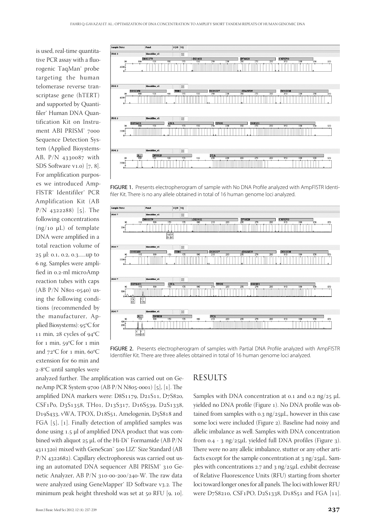is used, real-time quantitative PCR assay with a fluorogenic TaqMan® probe targeting the human telomerase reverse transcriptase gene (hTERT) and supported by Quantifiler<sup>®</sup> Human DNA Quantification Kit on Instrument ABI PRISM<sup>®</sup> 7000 Sequence Detection System (Applied Bioystems-AB,  $P/N$  4330087 with SDS Software  $v1.0$  [7, 8]. For amplification purposes we introduced Amp-FlSTR® Identifiler® PCR Amplification Kit (AB  $P/N$  4322288) [5]. The following concentrations (ng/10  $\mu$ L) of template DNA were amplified in a total reaction volume of 25 μl: 0.1, 0.2, 0.3......up to ng. Samples were amplified in 0.2-ml microAmp reaction tubes with caps (AB  $P/N$  N801-0540) using the following conditions (recommended by the manufacturer, Applied Biosystems): 95°C for 11 min, 28 cycles of  $94^{\circ}C$ for 1 min, 59 $\mathrm{^oC}$  for 1 min and  $72^{\circ}$ C for 1 min, 60 $^{\circ}$ C extension for 60 min and 2-8°C until samples were



FIGURE 1. Presents electropherogram of sample with No DNA Profile analyzed with AmpFISTR Identifiler Kit. There is no any allele obtained in total of 16 human genome loci analyzed.



FIGURE 2. Presents electropherogram of samples with Partial DNA Profile analyzed with AmpFISTR Identifiler Kit. There are three alleles obtained in total of 16 human genome loci analyzed.

analyzed further. The amplification was carried out on GeneAmp PCR System 9700 (AB P/N N805-0001) [5], [1]. The amplified DNA markers were: D8S1179, D21S11, D7S820, CSF1P0, D3S1358, TH01, D13S317, D16S539, D2S1338, D19S433, vWA, TPOX, D18S51, Amelogenin, D5S818 and FGA  $[5]$ ,  $[1]$ . Finally detection of amplified samples was done using 1.5 μl of amplified DNA product that was combined with aliquot  $25 \mu L$  of the Hi-Di<sup>™</sup> Formamide (AB P/N 4311320) mixed with GeneScan™ 500 LIZ™ Size Standard (AB  $P/N$  4322682). Capillary electrophoresis was carried out using an automated DNA sequencer ABI PRISM<sup>®</sup> 310 Genetic Analyzer, AB  $P/N$  310-00-200/240-W. The raw data were analyzed using GeneMapper<sup>®</sup> ID Software v3.2. The minimum peak height threshold was set at 50 RFU [9, 10].

# **RESULTS**

Samples with DNA concentration at 0.1 and 0.2 ng/25  $\mu$ L yielded no DNA profile (Figure 1). No DNA profile was obtained from samples with  $o.3$  ng/25µL, however in this case some loci were included (Figure 2). Baseline had noisy and allelic imbalance as well. Samples with DNA concentration from  $0.4 - 3$  ng/25µL yielded full DNA profiles (Figure 3). There were no any allelic imbalance, stutter or any other artifacts except for the sample concentration at  $3$  ng/25 $\mu$ L. Samples with concentrations  $2.7$  and  $3$  ng/ $25\mu$ L exhibit decrease of Relative Fluorescence Units (RFU) starting from shorter loci toward longer ones for all panels. The loci with lower RFU were D7S8210, CSF1PO, D2S1338, D18S51 and FGA [11].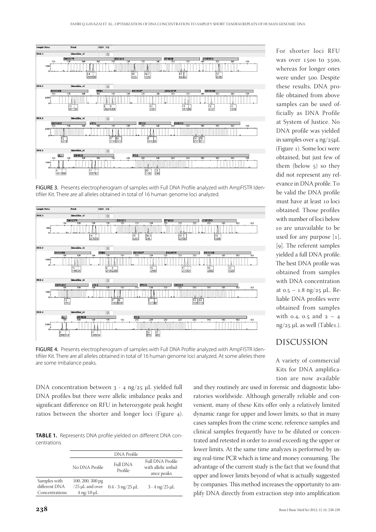

FIGURE 3. Presents electropherogram of samples with Full DNA Profile analyzed with AmpFISTR Identifiler Kit. There are all alleles obtained in total of 16 human genome loci analyzed.



FIGURE 4. Presents electropherogram of samples with Full DNA Profile analyzed with AmpFISTR Identifiler Kit. There are all alleles obtained in total of 16 human genome loci analyzed. At some alleles there are some imbalance peaks.

DNA concentration between  $3 - 4$  ng/25 µL yielded full DNA profiles but there were allelic imbalance peaks and significant difference on RFU in heterozygote peak height ratios between the shorter and longer loci (Figure ).

TABLE 1. Represents DNA profile yielded on different DNA concentrations

|                                                 | <b>DNA</b> Profile                                         |                            |                                                       |
|-------------------------------------------------|------------------------------------------------------------|----------------------------|-------------------------------------------------------|
|                                                 | No DNA Profile                                             | <b>Full DNA</b><br>Profile | Full DNA Profile<br>with allelic imbal-<br>ance peaks |
| Samples with<br>different DNA<br>Concentrations | 100, 200, 300 pg<br>$/25$ µL and over<br>$4$ ng/10 $\mu$ L | $0.4 - 3$ ng/25 $\mu$ L    | $3 - 4$ ng/25 $\mu$ L                                 |

For shorter loci RFU was over 1500 to 3500, whereas for longer ones were under 500. Despite these results, DNA profile obtained from above samples can be used officially as DNA Profile at System of Justice. No DNA profile was yielded in samples over  $4 \text{ ng}/25 \mu L$ (Figure 1). Some loci were obtained, but just few of them (below  $5$ ) so they did not represent any relevance in DNA profile. To be valid the DNA profile must have at least 10 loci obtained. Those profiles with number of loci below 10 are unavailable to be used for any purpose  $[1]$ , [9]. The referent samples yielded a full DNA profile. The best DNA profile was obtained from samples with DNA concentration at  $0.5 - 1.8$  ng/25 µL. Reliable DNA profiles were obtained from samples with 0.4, 0.5 and  $2 - 4$  $ng/25 \mu L$  as well (Table1.).

# DISCUSSION

A variety of commercial Kits for DNA amplification are now available

and they routinely are used in forensic and diagnostic laboratories worldwide. Although generally reliable and convenient, many of these Kits offer only a relatively limited dynamic range for upper and lower limits, so that in many cases samples from the crime scene, reference samples and clinical samples frequently have to be diluted or concentrated and retested in order to avoid exceedi ng the upper or lower limits. At the same time analyzes is performed by using real-time PCR which is time and money consuming. The advantage of the current study is the fact that we found that upper and lower limits beyond of what is actually suggested by companies. This method increases the opportunity to amplify DNA directly from extraction step into amplification